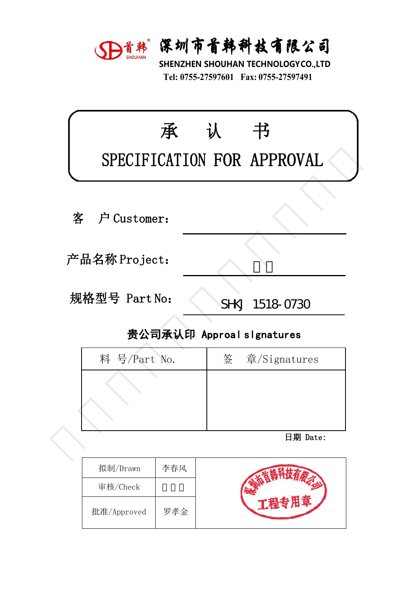

深圳市首韩科技有限公司<br>SHENZHEN SHOUHAN TECHNOLOGYCO.,LTD<br>Tel: 0755-27597601 Fax: 0755-27597491 **宋圳市首韩科技有限公司**<br>HENZHEN SHOUHAN TECHNOLOGYCO.,LTD<br>Tel: 0755-27597601 Fax: 0755-27597491

|               | D首韩 深圳市首韩科技有限公司<br>SHENZHEN SHOUHAN TECHNOLOGYCO.,LTD<br>Tel: 0755-27597601 Fax: 0755-27597491 |
|---------------|------------------------------------------------------------------------------------------------|
| 承             | 认<br>书<br>SPECIFICATION FOR APPROVAL                                                           |
| 户 Customer:   |                                                                                                |
| 产品名称 Project: |                                                                                                |
| 规格型号 Part No: | SHKJ 1518-0730                                                                                 |
|               | 贵公司承认印 Approal slgnatures                                                                      |
| 料 号/Part No.  | 签<br>章/Signatures                                                                              |
|               |                                                                                                |
|               | 日期 Date:                                                                                       |
|               |                                                                                                |

| ‼硲型号 Part No:             | SHKJ 1518-0730 |  |  |  |  |
|---------------------------|----------------|--|--|--|--|
| 贵公司承认印 Approal slgnatures |                |  |  |  |  |
| 料 号/Part No.              | 签 章/Signatures |  |  |  |  |
|                           |                |  |  |  |  |
|                           |                |  |  |  |  |
|                           |                |  |  |  |  |
|                           | 日期 Date:       |  |  |  |  |
|                           |                |  |  |  |  |

| 拟制/Drawn    | 李春风 |  |
|-------------|-----|--|
| 审核/Check    |     |  |
| 批准/Approved | 罗孝金 |  |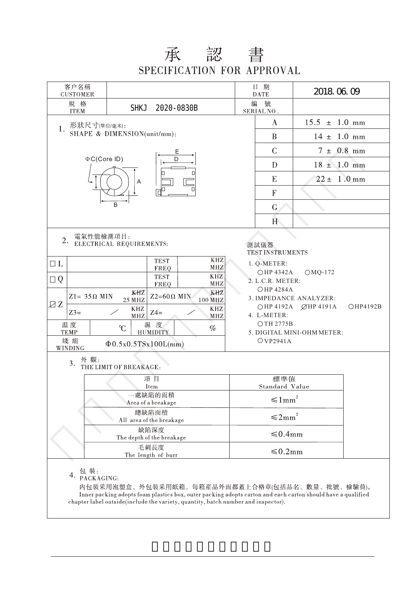## 承 認 書<br>SPECIFICATION FOR APPROVAL

| 客户名稱<br><b>CUSTOMER</b>                                       |                                                   |                                                                |                                                                                                                                                                                                                                                    |                                                                                                                                                                                                                                              | 日 期<br><b>DATE</b>    | 2018.06.09                |  |  |
|---------------------------------------------------------------|---------------------------------------------------|----------------------------------------------------------------|----------------------------------------------------------------------------------------------------------------------------------------------------------------------------------------------------------------------------------------------------|----------------------------------------------------------------------------------------------------------------------------------------------------------------------------------------------------------------------------------------------|-----------------------|---------------------------|--|--|
|                                                               | 規 格<br><b>ITEM</b>                                | <b>SHKJ</b>                                                    | 2020-0830B                                                                                                                                                                                                                                         | 編                                                                                                                                                                                                                                            | 號<br>SERIAL NO.       |                           |  |  |
|                                                               | 形狀尺寸(單位/毫米):<br>1.<br>SHAPE & DIMENSION(unit/mm): |                                                                |                                                                                                                                                                                                                                                    |                                                                                                                                                                                                                                              | $\bf{A}$              | $15.5 \pm 1.0 \text{ mm}$ |  |  |
|                                                               |                                                   |                                                                |                                                                                                                                                                                                                                                    |                                                                                                                                                                                                                                              | B                     | $14 \pm 1.0 \text{ mm}$   |  |  |
|                                                               | Ε<br>$\Phi C$ (Core ID)<br>D<br>Α                 |                                                                |                                                                                                                                                                                                                                                    |                                                                                                                                                                                                                                              | $\mathcal{C}$         | $7 \pm 0.8$ mm            |  |  |
|                                                               |                                                   |                                                                |                                                                                                                                                                                                                                                    |                                                                                                                                                                                                                                              | D                     | $18 \pm 1.0$ mm           |  |  |
|                                                               |                                                   |                                                                |                                                                                                                                                                                                                                                    |                                                                                                                                                                                                                                              | E                     | $22 \pm 1.0$ mm           |  |  |
|                                                               |                                                   |                                                                |                                                                                                                                                                                                                                                    |                                                                                                                                                                                                                                              | $\mathbf F$           |                           |  |  |
|                                                               |                                                   | B                                                              |                                                                                                                                                                                                                                                    |                                                                                                                                                                                                                                              | G                     |                           |  |  |
|                                                               |                                                   |                                                                |                                                                                                                                                                                                                                                    |                                                                                                                                                                                                                                              | H                     |                           |  |  |
| 2.<br>$\Box$ L<br>$\Box Q$<br>ZZ                              | 電氣性能檢測項目:<br>$Z1 = 35 \Omega$ MIN<br>$Z3=$        | ELECTRICAL REQUIREMENTS:<br>KHZ<br><b>25 MHZ</b><br>KHZ<br>MHZ | <b>KHZ</b><br><b>TEST</b><br>MHZ<br>FREQ<br>KHZ<br><b>TEST</b><br>MHZ<br>FREQ<br>KHZ<br>$Z2=60\Omega$ MIN<br>100 MHZ<br>$\ensuremath{\mathrm{KHZ}}$<br>$Z4=$<br>MHZ                                                                                | 測試儀器<br>TEST INSTRUMENTS<br>1. Q-METER:<br>$OMQ-172$<br>○HP 4342A<br>2. L.C.R. METER:<br><b>OHP 4284A</b><br>3. IMPEDANCE ANALYZER:<br>○HP 4192A ØHP 4191A<br>OHP4192B<br>4. L-METER:<br>OTH 2775B<br>5. DIGITAL MINI-OHM METER:<br>OVP2941A |                       |                           |  |  |
|                                                               | 温度<br><b>TEMP</b><br>綫組<br>WINDING                | C<br>$\Phi$ 0.5x0.5TSx100L(mm)                                 | 濕 度<br>$\%$<br><b>HUMIDITY</b>                                                                                                                                                                                                                     |                                                                                                                                                                                                                                              |                       |                           |  |  |
|                                                               | 外觀:<br>3.                                         | THE LIMIT OF BREAKAGE:                                         |                                                                                                                                                                                                                                                    |                                                                                                                                                                                                                                              |                       |                           |  |  |
|                                                               | 項目                                                |                                                                |                                                                                                                                                                                                                                                    |                                                                                                                                                                                                                                              | 標準值<br>Standard Value |                           |  |  |
| Item<br>一處缺陷的面積                                               |                                                   |                                                                |                                                                                                                                                                                                                                                    | $\leq 1$ mm                                                                                                                                                                                                                                  |                       |                           |  |  |
| Area of a breakage<br>總缺陷面積                                   |                                                   |                                                                |                                                                                                                                                                                                                                                    | $\leq 2$ mm <sup>2</sup>                                                                                                                                                                                                                     |                       |                           |  |  |
| All area of the breakage<br>缺陷深度<br>The depth of the breakage |                                                   |                                                                |                                                                                                                                                                                                                                                    | ≤0.4mm                                                                                                                                                                                                                                       |                       |                           |  |  |
|                                                               | 毛刺長度<br>The length of burr                        |                                                                |                                                                                                                                                                                                                                                    |                                                                                                                                                                                                                                              | $\leq 0.2$ mm         |                           |  |  |
|                                                               | 包 装:<br>PACKAGING:<br>4.                          |                                                                | 内包裝采用泡塑盒,外包裝采用紙箱,每箱産品外面都蓋上合格章(包括品名、數量、批號、檢驗員)。<br>Inner packing adopts foam plastics box, outer packing adopts carton and each carton should have a qualified<br>chapter label outside(include the variety, quantity, batch number and inspector). |                                                                                                                                                                                                                                              |                       |                           |  |  |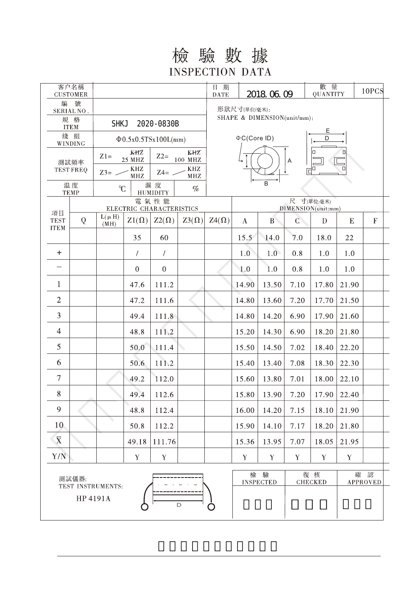## 檢驗數據 **INSPECTION DATA**  $\overline{a}$

|                                             | 客户名稱<br><b>CUSTOMER</b> |                                                       |                                                                 |                                          |                    | 日 期<br><b>DATE</b>               | 2018.06.09  |                | 數 量<br>QUANTITY |             | 10PCS       |                           |  |
|---------------------------------------------|-------------------------|-------------------------------------------------------|-----------------------------------------------------------------|------------------------------------------|--------------------|----------------------------------|-------------|----------------|-----------------|-------------|-------------|---------------------------|--|
| 編                                           | 號<br>SERIAL NO.         |                                                       |                                                                 |                                          |                    | 形狀尺寸(單位/毫米):                     |             |                |                 |             |             |                           |  |
|                                             | 規 格<br><b>ITEM</b>      | <b>SHKJ</b><br>2020-0830B                             |                                                                 | SHAPE & DIMENSION(unit/mm):              |                    |                                  |             |                |                 |             |             |                           |  |
| 綫 組<br>$\Phi$ 0.5x0.5TSx100L(mm)<br>WINDING |                         |                                                       |                                                                 |                                          | <b>⊕C(Core ID)</b> |                                  |             | D              |                 |             |             |                           |  |
| 測試頻率<br><b>TEST FREQ</b>                    |                         | KHZ<br>KHZ<br>$Z1=$<br>$Z2=$<br>$100\,$ MHZ<br>25 MHZ |                                                                 |                                          |                    | П                                |             |                |                 |             |             |                           |  |
|                                             |                         | $\rm KHZ$<br>KHZ<br>$Z3=$<br>$Z4=$                    |                                                                 |                                          | A<br>О             |                                  |             |                |                 |             |             |                           |  |
| 温度                                          |                         |                                                       | $\operatorname{MHz}$<br>$\operatorname{MHZ}$<br>濕度<br>C<br>$\%$ |                                          |                    | B                                |             |                |                 |             |             |                           |  |
|                                             | <b>TEMP</b>             | <b>HUMIDITY</b><br>電氣性能                               |                                                                 |                                          |                    | 尺 寸(單位:毫米)<br>DIMENSION(unit:mm) |             |                |                 |             |             |                           |  |
| 項目<br><b>TEST</b>                           | Q                       | $L(\mu H)$                                            | $Z1(\Omega)$                                                    | ELECTRIC CHARACTERISTICS<br>$Z2(\Omega)$ | $Z3(\Omega)$       | $Z_4(\Omega)$                    | $\bf{A}$    | B              | $\mathsf C$     | D           | E           | $\boldsymbol{\mathrm{F}}$ |  |
| <b>ITEM</b>                                 |                         | (MH)                                                  | 35                                                              | 60                                       |                    |                                  | 15.5        | 14.0           | 7.0             | 18.0        | 22          |                           |  |
| $\pm$                                       |                         |                                                       | $\sqrt{2}$                                                      | $\overline{1}$                           |                    |                                  | 1.0         | 1.0            | 0.8             | 1.0         | 1.0         |                           |  |
|                                             |                         |                                                       | $\boldsymbol{0}$                                                | $\boldsymbol{0}$                         |                    |                                  | 1.0         | 1.0            | 0.8             | 1.0         | 1.0         |                           |  |
| $\mathbf{1}$                                |                         |                                                       | 47.6                                                            | 111.2                                    |                    |                                  | 14.90       | 13.50          | 7.10            | 17.80       | 21.90       |                           |  |
| $\overline{2}$                              |                         |                                                       |                                                                 |                                          |                    |                                  |             |                |                 |             |             |                           |  |
| 3                                           |                         |                                                       | 47.2                                                            | 111.6                                    |                    |                                  | 14.80       | 13.60          | 7.20            | 17.70       | 21.50       |                           |  |
|                                             |                         |                                                       | 49.4                                                            | 111.8                                    |                    |                                  | 14.80       | 14.20          | 6.90            | 17.90       | 21.60       |                           |  |
| 4                                           |                         |                                                       | 48.8                                                            | 111.2                                    |                    |                                  | 15.20       | 14.30          | 6.90            | 18.20       | 21.80       |                           |  |
| 5                                           |                         |                                                       | 50.0                                                            | 111.4                                    |                    |                                  | 15.50       | 14.50          | 7.02            | 18.40       | 22.20       |                           |  |
| 6                                           |                         |                                                       | 50.6                                                            | 111.2                                    |                    |                                  | 15.40       | 13.40          | 7.08            | 18.30       | 22.30       |                           |  |
| $\tau$                                      |                         |                                                       | 49.2                                                            | 112.0                                    |                    |                                  | 15.60       | 13.80          | 7.01            | 18.00       | 22.10       |                           |  |
| 8                                           |                         |                                                       | 49.4                                                            | 112.6                                    |                    |                                  | 15.80       | 13.90          | 7.20            | 17.90       | 22.40       |                           |  |
| 9                                           |                         |                                                       | 48.8                                                            | 112.4                                    |                    |                                  | 16.00       | 14.20          | 7.15            | 18.10       | 21.90       |                           |  |
| 10                                          |                         |                                                       | 50.8                                                            | 112.2                                    |                    |                                  | 15.90       | 14.10          | 7.17            | 18.20       | 21.80       |                           |  |
| $\overline{\text{X}}$                       |                         |                                                       | 49.18                                                           | 111.76                                   |                    |                                  | 15.36       | 13.95          | 7.07            | 18.05       | 21.95       |                           |  |
| Y/N                                         |                         |                                                       | $\mathbf Y$                                                     | $\mathbf Y$                              |                    |                                  | $\mathbf Y$ | $\mathbf Y$    | Y               | $\mathbf Y$ | $\mathbf Y$ |                           |  |
| 測試儀器:                                       |                         |                                                       |                                                                 |                                          | 檢                  | 驗                                |             | 復核             | 確               | 認           |             |                           |  |
| TEST INSTRUMENTS:                           |                         |                                                       |                                                                 |                                          |                    | <b>INSPECTED</b>                 |             | <b>CHECKED</b> |                 | APPROVED    |             |                           |  |
|                                             | HP 4191A                |                                                       |                                                                 |                                          | $\mathsf D$        |                                  |             |                |                 |             |             |                           |  |
|                                             |                         |                                                       |                                                                 |                                          |                    |                                  |             |                |                 |             |             |                           |  |